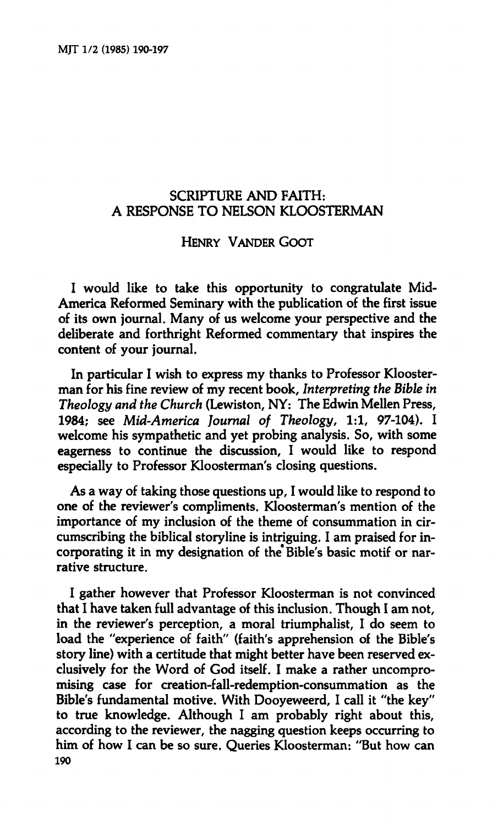## **SCRIPTURE AND FAITH: A RESPONSE TO NELSON KLOOSTERMAN**

## **HENRY VANDER GOOT**

**I would like to take this opportunity to congratulate Mid-America Reformed Seminary with the publication of the first issue of its own journal. Many of us welcome your perspective and the deliberate and forthright Reformed commentary that inspires the content of your journal.** 

**In particular I wish to express my thanks to Professor Kloosterman for his fine review of my recent book.** *Interpreting the Bible in Theology and the Church* **(Lewiston, NY: The Edwin Mellen Press, 1984; see** *Mid-America Journal of Theology,* **1:1, 97-104). I welcome his sympathetic and yet probing analysis. So, with some eagerness to continue the discussion, I would like to respond especially to Professor Kloosterman's closing questions.** 

**As a way of taking those questions up, I would like to respond to one of the reviewer's compliments. Kloosterman's mention of the importance of my inclusion of the theme of consummation in circumscribing the biblical storyline is intriguing. I am praised for incorporating it in my designation of the\* Bible's basic motif or narrative structure.** 

**I gather however that Professor Kloosterman is not convinced that I have taken full advantage of this inclusion. Though I am not, in the reviewer's perception, a moral triumphalist, I do seem to load the "experience of faith" (faith's apprehension of the Bible's story line) with a certitude that might better have been reserved exclusively for the Word of God itself. I make a rather uncompromising case for creation-fall-redemption-consummation as the Bible's fundamental motive. With Dooyeweerd, I call it "the key" to true knowledge. Although I am probably right about this, according to the reviewer, the nagging question keeps occurring to him of how I can be so sure. Queries Kloosterman: "But how can 190**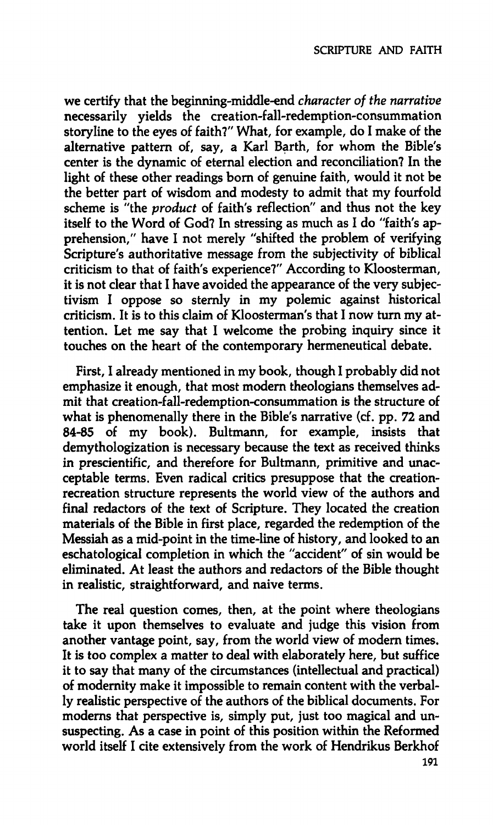**we certify that the beginning-middle-end** *character of the narrative*  **necessarily yields the creation-fall-redemption-consummation storyline to the eyes of faith?" What, for example, do I make of the alternative pattern of, say, a Karl Barth, for whom the Bible's center is the dynamic of eternal election and reconciliation? In the light of these other readings born of genuine faith, would it not be the better part of wisdom and modesty to admit that my fourfold scheme is "the** *product* **of faith's reflection" and thus not the key itself to the Word of God? In stressing as much as I do "faith's apprehension," have I not merely "shifted the problem of verifying Scripture's authoritative message from the subjectivity of biblical criticism to that of faith's experience?" According to Kloosterman, it is not clear that I have avoided the appearance of the very subjectivism I oppose so sternly in my polemic against historical criticism. It is to this claim of Kloosterman's that I now turn my attention. Let me say that I welcome the probing inquiry since it touches on the heart of the contemporary hermeneutical debate.** 

**First, I already mentioned in my book, though I probably did not emphasize it enough, that most modern theologians themselves admit that creation-fall-redemption-consummation is the structure of what is phenomenally there in the Bible's narrative (cf. pp. 72 and 84-85 of my book). Bultmann, for example, insists that demythologization is necessary because the text as received thinks in prescientific, and therefore for Bultmann, primitive and unacceptable terms. Even radical critics presuppose that the creationrecreation structure represents the world view of the authors and final redactors of the text of Scripture. They located the creation materials of the Bible in first place, regarded the redemption of the Messiah as a mid-point in the time-line of history, and looked to an eschatological completion in which the "accident" of sin would be eliminated. At least the authors and redactors of the Bible thought in realistic, straightforward, and naive terms.** 

**The real question comes, then, at the point where theologians take it upon themselves to evaluate and judge this vision from another vantage point, say, from the world view of modern times. It is too complex a matter to deal with elaborately here, but suffice it to say that many of the circumstances (intellectual and practical) of modernity make it impossible to remain content with the verbally realistic perspective of the authors of the biblical documents. For moderns that perspective is, simply put, just too magical and unsuspecting. As a case in point of this position within the Reformed world itself I cite extensively from the work of Hendrikus Berkhof** 

**191**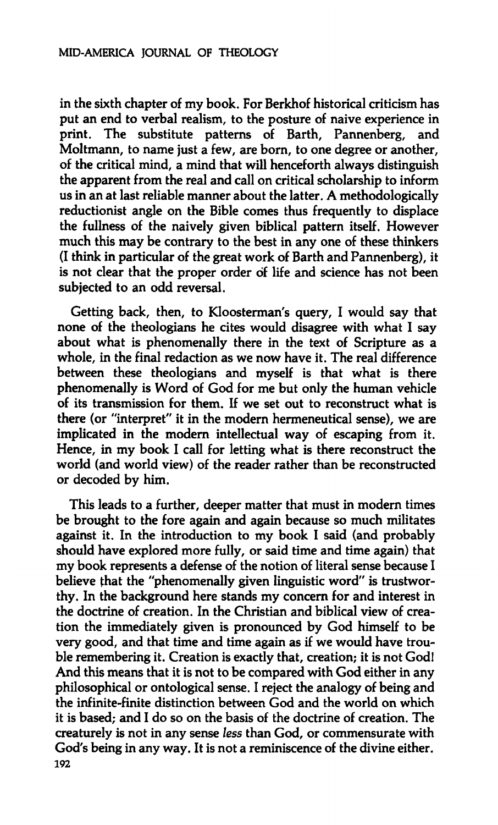**in the sixth chapter of my book. For Berkhof historical criticism has put an end to verbal realism, to the posture of naive experience in print. The substitute patterns of Barth, Pannenberg, and Moltmann, to name just a few, are born, to one degree or another, of the critical mind, a mind that will henceforth always distinguish the apparent from the real and call on critical scholarship to inform us in an at last reliable manner about the latter. A methodologically reductionist angle on the Bible comes thus frequently to displace the fullness of the naively given biblical pattern itself. However much this may be contrary to the best in any one of these thinkers (I think in particular of the great work of Barth and Pannenberg), it is not clear that the proper order of life and science has not been subjected to an odd reversal.** 

**Getting back, then, to Kloosterman's query, I would say that none of the theologians he cites would disagree with what I say about what is phenomenally there in the text of Scripture as a whole, in the final redaction as we now have it. The real difference between these theologians and myself is that what is there phenomenally is Word of God for me but only the human vehicle of its transmission for them. If we set out to reconstruct what is there (or "interpret" it in the modern hermeneutical sense), we are implicated in the modern intellectual way of escaping from it. Hence, in my book I call for letting what is there reconstruct the world (and world view) of the reader rather than be reconstructed or decoded by him.** 

**This leads to a further, deeper matter that must in modern times be brought to the fore again and again because so much militates against it. In the introduction to my book I said (and probably should have explored more fully, or said time and time again) that my book represents a defense of the notion of literal sense because I believe that the "phenomenally given linguistic word" is trustworthy. In the background here stands my concern for and interest in the doctrine of creation. In the Christian and biblical view of creation the immediately given is pronounced by God himself to be very good, and that time and time again as if we would have trouble remembering it. Creation is exactly that, creation; it is not God! And this means that it is not to be compared with God either in any philosophical or ontological sense. I reject the analogy of being and the infinite-finite distinction between God and the world on which it is based; and I do so on the basis of the doctrine of creation. The creaturely is not in any sense** *less* **than God, or commensurate with God's being in any way. It is not a reminiscence of the divine either. 192**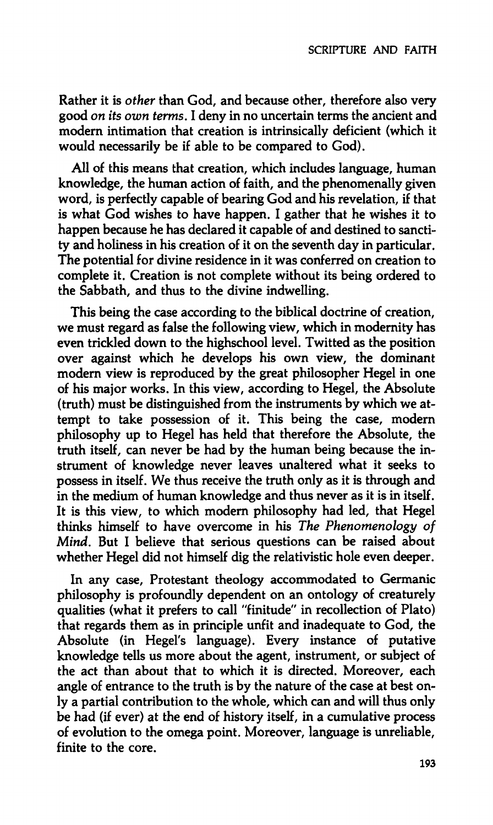**Rather it is** *other* **than God, and because other, therefore also very good** *on its own terms.* **I deny in no uncertain terms the ancient and modern intimation that creation is intrinsically deficient (which it would necessarily be if able to be compared to God).** 

**All of this means that creation, which includes language, human knowledge, the human action of faith, and the phenomenally given word, is perfectly capable of bearing God and his revelation, if that is what God wishes to have happen. I gather that he wishes it to happen because he has declared it capable of and destined to sanctity and holiness in his creation of it on the seventh day in particular. The potential for divine residence in it was conferred on creation to complete it. Creation is not complete without its being ordered to the Sabbath, and thus to the divine indwelling.** 

**This being the case according to the biblical doctrine of creation, we must regard as false the following view, which in modernity has even trickled down to the highschool level. Twitted as the position over against which he develops his own view, the dominant modern view is reproduced by the great philosopher Hegel in one of his major works. In this view, according to Hegel, the Absolute (truth) must be distinguished from the instruments by which we attempt to take possession of it. This being the case, modern philosophy up to Hegel has held that therefore the Absolute, the truth itself, can never be had by the human being because the instrument of knowledge never leaves unaltered what it seeks to possess in itself. We thus receive the truth only as it is through and in the medium of human knowledge and thus never as it is in itself. It is this view, to which modern philosophy had led, that Hegel thinks himself to have overcome in his** *The Phenomenology of Mind.* **But I believe that serious questions can be raised about whether Hegel did not himself dig the relativistic hole even deeper.** 

**In any case, Protestant theology accommodated to Germanic philosophy is profoundly dependent on an ontology of creaturely qualities (what it prefers to call "finitude" in recollection of Plato) that regards them as in principle unfit and inadequate to God, the Absolute (in Hegel's language). Every instance of putative knowledge tells us more about the agent, instrument, or subject of the act than about that to which it is directed. Moreover, each angle of entrance to the truth is by the nature of the case at best only a partial contribution to the whole, which can and will thus only be had (if ever) at the end of history itself, in a cumulative process of evolution to the omega point. Moreover, language is unreliable, finite to the core.**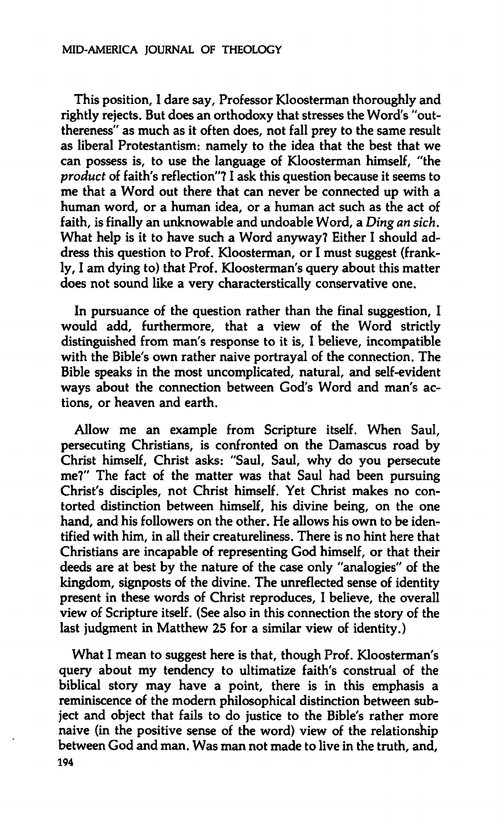**This position, I dare say. Professor Kloosterman thoroughly and rightly rejects. But does an orthodoxy that stresses the Word's "outthereness" as much as it often does, not fall prey to the same result as liberal Protestantism: namely to the idea that the best that we can possess is, to use the language of Kloosterman himself, "the**  *product* **of faith's reflection"? I ask this question because it seems to me that a Word out there that can never be connected up with a human word, or a human idea, or a human act such as the act of faith, is finally an unknowable and undoable Word, a** *Ding an sich.*  **What help is it to have such a Word anyway? Either I should address this question to Prof. Kloosterman, or I must suggest (frankly, I am dying to) that Prof. Kloosterman's query about this matter does not sound like a very characterstically conservative one.** 

**In pursuance of the question rather than the final suggestion, I would add, furthermore, that a view of the Word strictly distinguished from man's response to it is, I believe, incompatible with the Bible's own rather naive portrayal of the connection. The Bible speaks in the most uncomplicated, natural, and self-evident ways about the connection between God's Word and man's actions, or heaven and earth.** 

**Allow me an example from Scripture itself. When Saul, persecuting Christians, is confronted on the Damascus road by Christ himself, Christ asks: "Saul, Saul, why do you persecute me?" The fact of the matter was that Saul had been pursuing Christ's disciples, not Christ himself. Yet Christ makes no contorted distinction between himself, his divine being, on the one hand, and his followers on the other. He allows his own to be identified with him, in all their creatureliness. There is no hint here that Christians are incapable of representing God himself, or that their deeds are at best by the nature of the case only "analogies" of the kingdom, signposts of the divine. The unreflected sense of identity present in these words of Christ reproduces, I believe, the overall view of Scripture itself. (See also in this connection the story of the last judgment in Matthew 25 for a similar view of identity.)** 

**What I mean to suggest here is that, though Prof. Kloosterman's query about my tendency to ultimatize faith's construal of the biblical story may have a point, there is in this emphasis a reminiscence of the modern philosophical distinction between subject and object that fails to do justice to the Bible's rather more naive (in the positive sense of the word) view of the relationship between God and man. Was man not made to live in the truth, and, 194**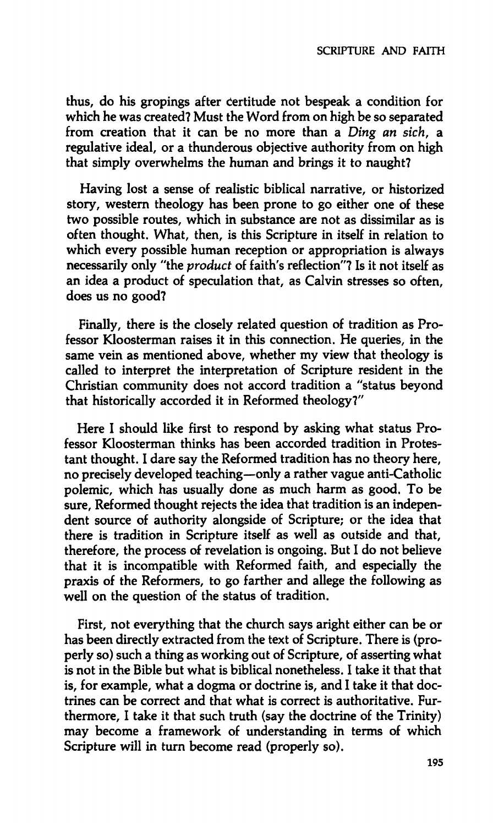**thus, do his gropings after Certitude not bespeak a condition for which he was created? Must the Word from on high be so separated from creation that it can be no more than a** *Ding an sich,* **a regulative ideal, or a thunderous objective authority from on high that simply overwhelms the human and brings it to naught?** 

**Having lost a sense of realistic biblical narrative, or historized story, western theology has been prone to go either one of these two possible routes, which in substance are not as dissimilar as is often thought. What, then, is this Scripture in itself in relation to which every possible human reception or appropriation is always necessarily only "the** *product* **of faith's reflection"? Is it not itself as an idea a product of speculation that, as Calvin stresses so often, does us no good?** 

**Finally, there is the closely related question of tradition as Professor Kloosterman raises it in this connection. He queries, in the same vein as mentioned above, whether my view that theology is called to interpret the interpretation of Scripture resident in the Christian community does not accord tradition a "status beyond that historically accorded it in Reformed theology?"** 

**Here I should like first to respond by asking what status Professor Kloosterman thinks has been accorded tradition in Protestant thought. I dare say the Reformed tradition has no theory here, no precisely developed teaching—only a rather vague anti-Catholic polemic, which has usually done as much harm as good. To be sure. Reformed thought rejects the idea that tradition is an independent source of authority alongside of Scripture; or the idea that there is tradition in Scripture itself as well as outside and that, therefore, the process of revelation is ongoing. But I do not believe that it is incompatible with Reformed faith, and especially the praxis of the Reformers, to go farther and allege the following as well on the question of the status of tradition.** 

**First, not everything that the church says aright either can be or has been directly extracted from the text of Scripture. There is (properly so) such a thing as working out of Scripture, of asserting what is not in the Bible but what is biblical nonetheless. I take it that that is, for example, what a dogma or doctrine is, and I take it that doctrines can be correct and that what is correct is authoritative. Furthermore, I take it that such truth (say the doctrine of the Trinity) may become a framework of understanding in terms of which Scripture will in turn become read (properly so).**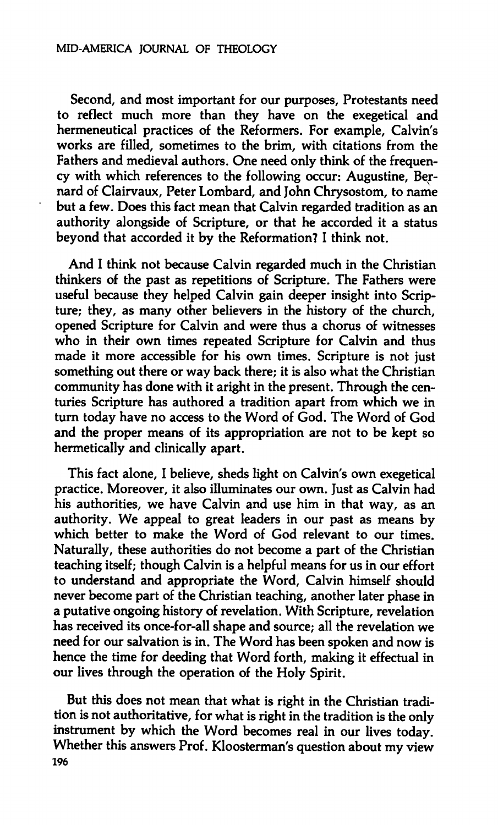**Second, and most important for our purposes, Protestants need to reflect much more than they have on the exegetical and hermeneutical practices of the Reformers. For example, Calvin's works are filled, sometimes to the brim, with citations from the Fathers and medieval authors. One need only think of the frequency with which references to the following occur: Augustine, Bernard of Clairvaux, Peter Lombard, and John Chrysostom, to name but a few. Does this fact mean that Calvin regarded tradition as an authority alongside of Scripture, or that he accorded it a status beyond that accorded it by the Reformation? I think not.** 

**And I think not because Calvin regarded much in the Christian thinkers of the past as repetitions of Scripture. The Fathers were useful because they helped Calvin gain deeper insight into Scripture; they, as many other believers in the history of the church, opened Scripture for Calvin and were thus a chorus of witnesses who in their own times repeated Scripture for Calvin and thus made it more accessible for his own times. Scripture is not just something out there or way back there; it is also what the Christian community has done with it aright in the present. Through the centuries Scripture has authored a tradition apart from which we in turn today have no access to the Word of God. The Word of God and the proper means of its appropriation are not to be kept so hermetically and clinically apart.** 

**This fact alone, I believe, sheds light on Calvin's own exegetical practice. Moreover, it also illuminates our own. Just as Calvin had his authorities, we have Calvin and use him in that way, as an authority. We appeal to great leaders in our past as means by which better to make the Word of God relevant to our times. Naturally, these authorities do not become a part of the Christian teaching itself; though Calvin is a helpful means for us in our effort to understand and appropriate the Word, Calvin himself should never become part of the Christian teaching, another later phase in a putative ongoing history of revelation. With Scripture, revelation has received its once-for-all shape and source; all the revelation we need for our salvation is in. The Word has been spoken and now is hence the time for deeding that Word forth, making it effectual in our lives through the operation of the Holy Spirit.** 

**But this does not mean that what is right in the Christian tradition is not authoritative, for what is right in the tradition is the only instrument by which the Word becomes real in our lives today. Whether this answers Prof. Kloosterman's question about my view 196**